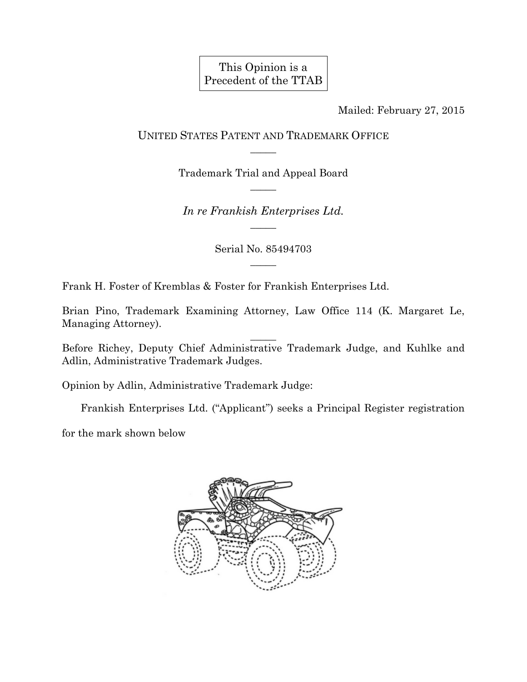This Opinion is a Precedent of the TTAB

Mailed: February 27, 2015

UNITED STATES PATENT AND TRADEMARK OFFICE  $\overline{\phantom{a}}$ 

> Trademark Trial and Appeal Board  $\overline{\phantom{a}}$

*In re Frankish Enterprises Ltd.*   $\overline{\phantom{a}}$ 

> Serial No. 85494703  $\overline{\phantom{a}}$

Frank H. Foster of Kremblas & Foster for Frankish Enterprises Ltd.

Brian Pino, Trademark Examining Attorney, Law Office 114 (K. Margaret Le, Managing Attorney).

Before Richey, Deputy Chief Administrative Trademark Judge, and Kuhlke and Adlin, Administrative Trademark Judges.

 $\overline{\phantom{a}}$ 

Opinion by Adlin, Administrative Trademark Judge:

Frankish Enterprises Ltd. ("Applicant") seeks a Principal Register registration

for the mark shown below

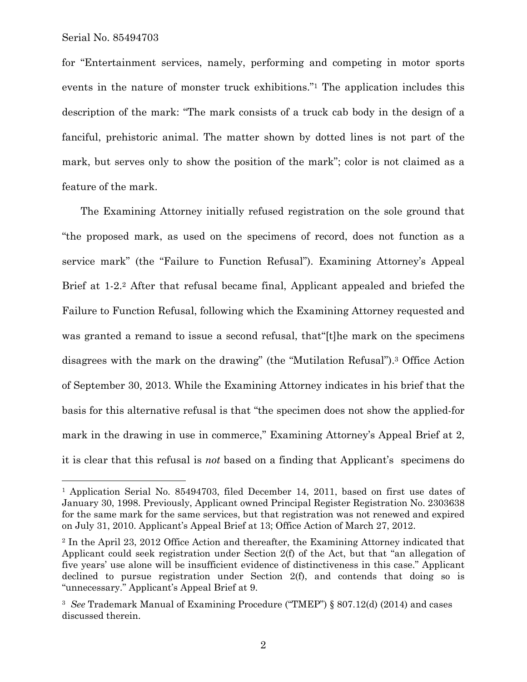1

for "Entertainment services, namely, performing and competing in motor sports events in the nature of monster truck exhibitions."1 The application includes this description of the mark: "The mark consists of a truck cab body in the design of a fanciful, prehistoric animal. The matter shown by dotted lines is not part of the mark, but serves only to show the position of the mark"; color is not claimed as a feature of the mark.

The Examining Attorney initially refused registration on the sole ground that "the proposed mark, as used on the specimens of record, does not function as a service mark" (the "Failure to Function Refusal"). Examining Attorney's Appeal Brief at 1-2.2 After that refusal became final, Applicant appealed and briefed the Failure to Function Refusal, following which the Examining Attorney requested and was granted a remand to issue a second refusal, that "[t] he mark on the specimens disagrees with the mark on the drawing" (the "Mutilation Refusal").3 Office Action of September 30, 2013. While the Examining Attorney indicates in his brief that the basis for this alternative refusal is that "the specimen does not show the applied-for mark in the drawing in use in commerce," Examining Attorney's Appeal Brief at 2, it is clear that this refusal is *not* based on a finding that Applicant's specimens do

<sup>&</sup>lt;sup>1</sup> Application Serial No. 85494703, filed December 14, 2011, based on first use dates of January 30, 1998. Previously, Applicant owned Principal Register Registration No. 2303638 for the same mark for the same services, but that registration was not renewed and expired on July 31, 2010. Applicant's Appeal Brief at 13; Office Action of March 27, 2012.

<sup>2</sup> In the April 23, 2012 Office Action and thereafter, the Examining Attorney indicated that Applicant could seek registration under Section 2(f) of the Act, but that "an allegation of five years' use alone will be insufficient evidence of distinctiveness in this case." Applicant declined to pursue registration under Section 2(f), and contends that doing so is "unnecessary." Applicant's Appeal Brief at 9.

<sup>3</sup> *See* Trademark Manual of Examining Procedure ("TMEP") § 807.12(d) (2014) and cases discussed therein.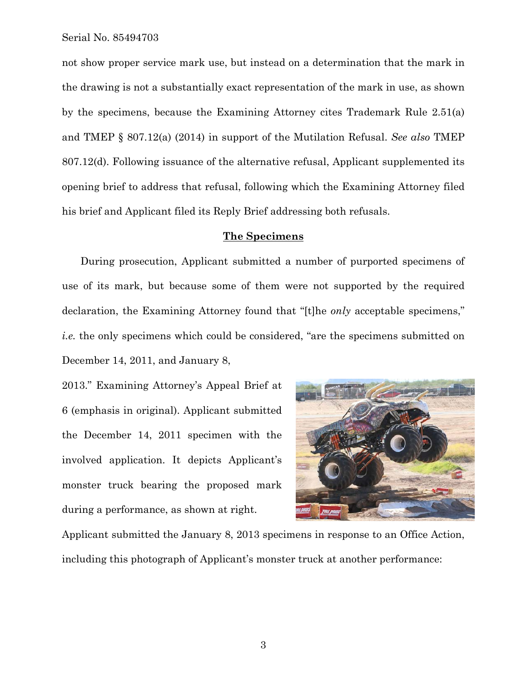not show proper service mark use, but instead on a determination that the mark in the drawing is not a substantially exact representation of the mark in use, as shown by the specimens, because the Examining Attorney cites Trademark Rule 2.51(a) and TMEP § 807.12(a) (2014) in support of the Mutilation Refusal. *See also* TMEP 807.12(d). Following issuance of the alternative refusal, Applicant supplemented its opening brief to address that refusal, following which the Examining Attorney filed his brief and Applicant filed its Reply Brief addressing both refusals.

#### **The Specimens**

During prosecution, Applicant submitted a number of purported specimens of use of its mark, but because some of them were not supported by the required declaration, the Examining Attorney found that "[t]he *only* acceptable specimens," *i.e.* the only specimens which could be considered, "are the specimens submitted on December 14, 2011, and January 8,

2013." Examining Attorney's Appeal Brief at 6 (emphasis in original). Applicant submitted the December 14, 2011 specimen with the involved application. It depicts Applicant's monster truck bearing the proposed mark during a performance, as shown at right.



Applicant submitted the January 8, 2013 specimens in response to an Office Action, including this photograph of Applicant's monster truck at another performance: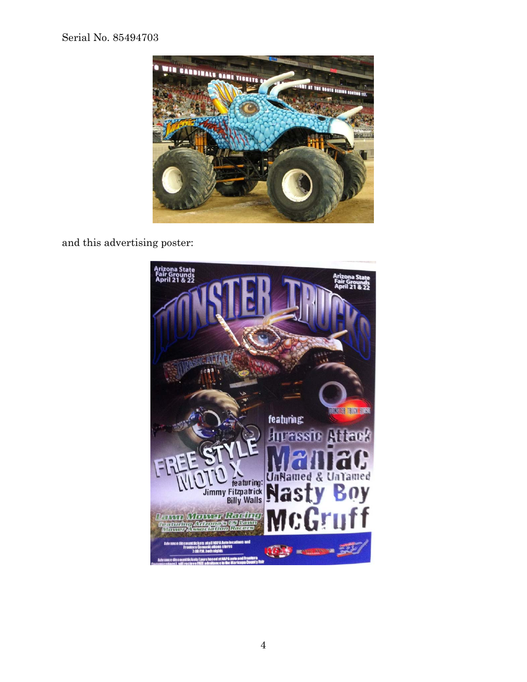

and this advertising poster:

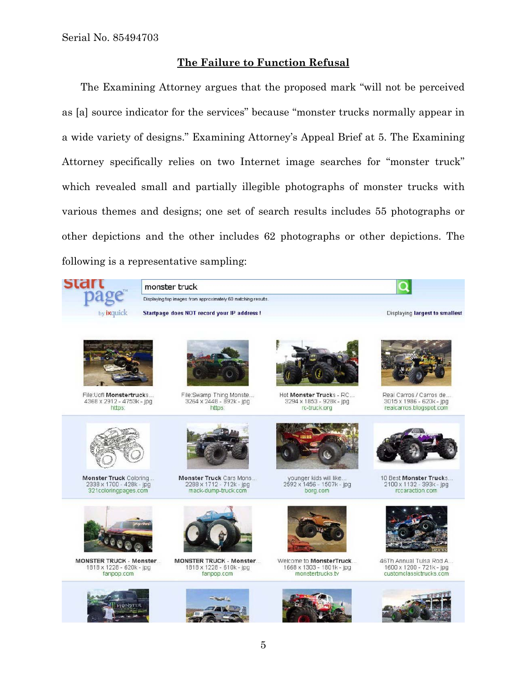## **The Failure to Function Refusal**

The Examining Attorney argues that the proposed mark "will not be perceived as [a] source indicator for the services" because "monster trucks normally appear in a wide variety of designs." Examining Attorney's Appeal Brief at 5. The Examining Attorney specifically relies on two Internet image searches for "monster truck" which revealed small and partially illegible photographs of monster trucks with various themes and designs; one set of search results includes 55 photographs or other depictions and the other includes 62 photographs or other depictions. The following is a representative sampling:

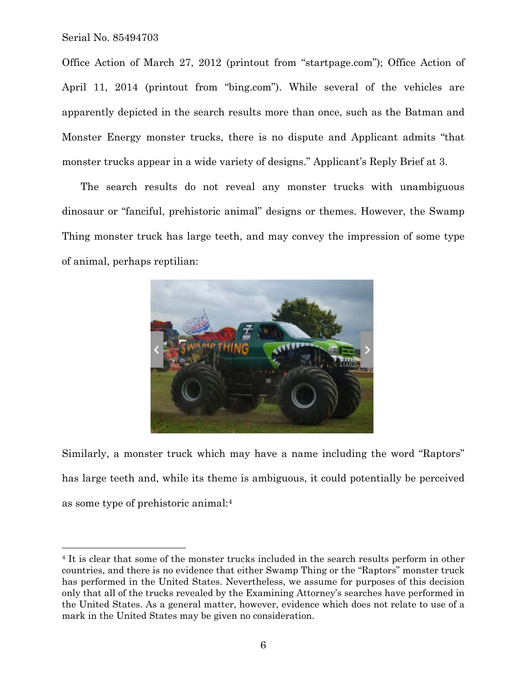1

Office Action of March 27, 2012 (printout from "startpage.com"); Office Action of April 11, 2014 (printout from "bing.com"). While several of the vehicles are apparently depicted in the search results more than once, such as the Batman and Monster Energy monster trucks, there is no dispute and Applicant admits "that monster trucks appear in a wide variety of designs." Applicant's Reply Brief at 3.

The search results do not reveal any monster trucks with unambiguous dinosaur or "fanciful, prehistoric animal" designs or themes. However, the Swamp Thing monster truck has large teeth, and may convey the impression of some type of animal, perhaps reptilian:



Similarly, a monster truck which may have a name including the word "Raptors" has large teeth and, while its theme is ambiguous, it could potentially be perceived as some type of prehistoric animal:4

<sup>&</sup>lt;sup>4</sup> It is clear that some of the monster trucks included in the search results perform in other countries, and there is no evidence that either Swamp Thing or the "Raptors" monster truck has performed in the United States. Nevertheless, we assume for purposes of this decision only that all of the trucks revealed by the Examining Attorney's searches have performed in the United States. As a general matter, however, evidence which does not relate to use of a mark in the United States may be given no consideration.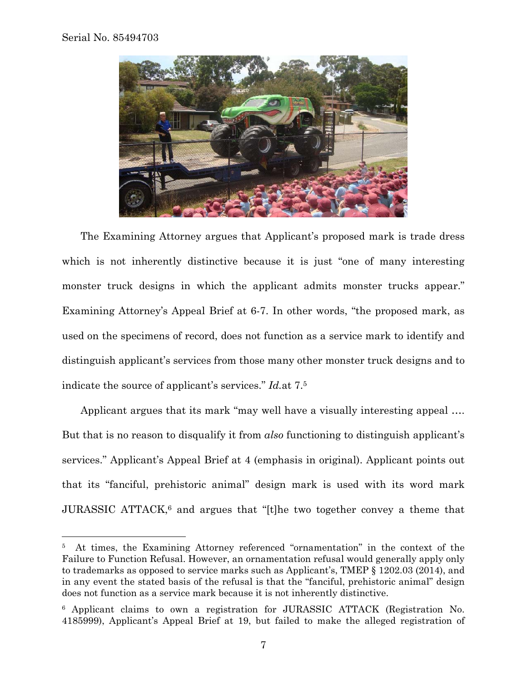1



The Examining Attorney argues that Applicant's proposed mark is trade dress which is not inherently distinctive because it is just "one of many interesting monster truck designs in which the applicant admits monster trucks appear." Examining Attorney's Appeal Brief at 6-7. In other words, "the proposed mark, as used on the specimens of record, does not function as a service mark to identify and distinguish applicant's services from those many other monster truck designs and to indicate the source of applicant's services." *Id.*at 7.5

Applicant argues that its mark "may well have a visually interesting appeal …. But that is no reason to disqualify it from *also* functioning to distinguish applicant's services." Applicant's Appeal Brief at 4 (emphasis in original). Applicant points out that its "fanciful, prehistoric animal" design mark is used with its word mark JURASSIC ATTACK,<sup>6</sup> and argues that "[t]he two together convey a theme that

<sup>5</sup> At times, the Examining Attorney referenced "ornamentation" in the context of the Failure to Function Refusal. However, an ornamentation refusal would generally apply only to trademarks as opposed to service marks such as Applicant's, TMEP § 1202.03 (2014), and in any event the stated basis of the refusal is that the "fanciful, prehistoric animal" design does not function as a service mark because it is not inherently distinctive.

<sup>6</sup> Applicant claims to own a registration for JURASSIC ATTACK (Registration No. 4185999), Applicant's Appeal Brief at 19, but failed to make the alleged registration of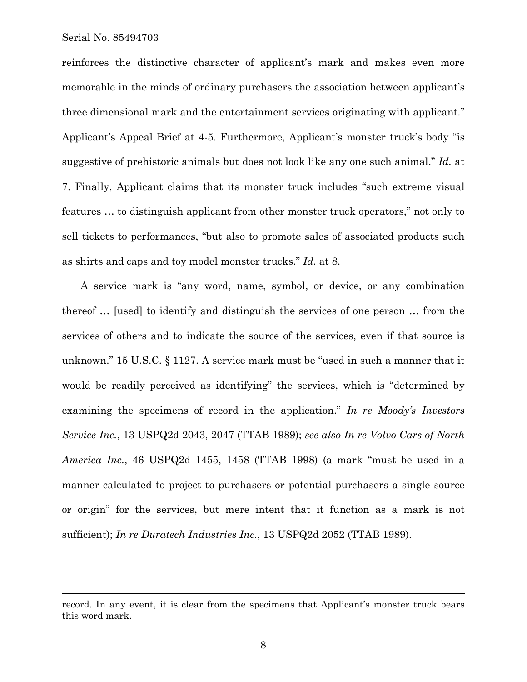$\overline{a}$ 

reinforces the distinctive character of applicant's mark and makes even more memorable in the minds of ordinary purchasers the association between applicant's three dimensional mark and the entertainment services originating with applicant." Applicant's Appeal Brief at 4-5. Furthermore, Applicant's monster truck's body "is suggestive of prehistoric animals but does not look like any one such animal." *Id.* at 7. Finally, Applicant claims that its monster truck includes "such extreme visual features … to distinguish applicant from other monster truck operators," not only to sell tickets to performances, "but also to promote sales of associated products such as shirts and caps and toy model monster trucks." *Id.* at 8.

A service mark is "any word, name, symbol, or device, or any combination thereof … [used] to identify and distinguish the services of one person … from the services of others and to indicate the source of the services, even if that source is unknown." 15 U.S.C. § 1127. A service mark must be "used in such a manner that it would be readily perceived as identifying" the services, which is "determined by examining the specimens of record in the application." *In re Moody's Investors Service Inc.*, 13 USPQ2d 2043, 2047 (TTAB 1989); *see also In re Volvo Cars of North America Inc.*, 46 USPQ2d 1455, 1458 (TTAB 1998) (a mark "must be used in a manner calculated to project to purchasers or potential purchasers a single source or origin" for the services, but mere intent that it function as a mark is not sufficient); *In re Duratech Industries Inc.*, 13 USPQ2d 2052 (TTAB 1989).

record. In any event, it is clear from the specimens that Applicant's monster truck bears this word mark.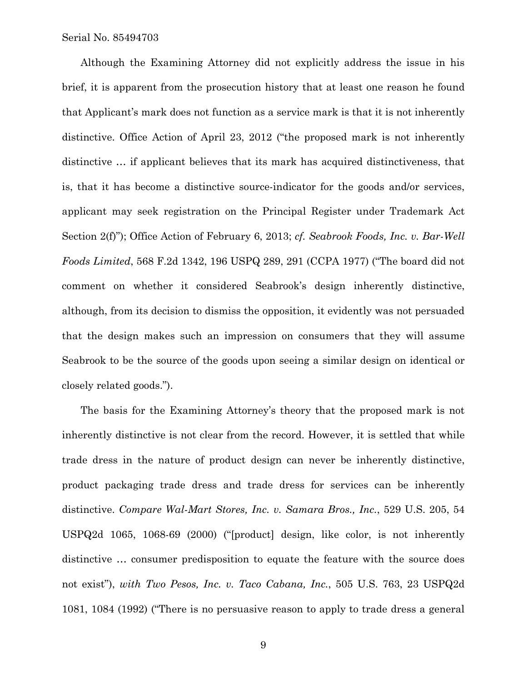Although the Examining Attorney did not explicitly address the issue in his brief, it is apparent from the prosecution history that at least one reason he found that Applicant's mark does not function as a service mark is that it is not inherently distinctive. Office Action of April 23, 2012 ("the proposed mark is not inherently distinctive … if applicant believes that its mark has acquired distinctiveness, that is, that it has become a distinctive source-indicator for the goods and/or services, applicant may seek registration on the Principal Register under Trademark Act Section 2(f)"); Office Action of February 6, 2013; *cf. Seabrook Foods, Inc. v. Bar-Well Foods Limited*, 568 F.2d 1342, 196 USPQ 289, 291 (CCPA 1977) ("The board did not comment on whether it considered Seabrook's design inherently distinctive, although, from its decision to dismiss the opposition, it evidently was not persuaded that the design makes such an impression on consumers that they will assume Seabrook to be the source of the goods upon seeing a similar design on identical or closely related goods.").

The basis for the Examining Attorney's theory that the proposed mark is not inherently distinctive is not clear from the record. However, it is settled that while trade dress in the nature of product design can never be inherently distinctive, product packaging trade dress and trade dress for services can be inherently distinctive. *Compare Wal-Mart Stores, Inc. v. Samara Bros., Inc.*, 529 U.S. 205, 54 USPQ2d 1065, 1068-69 (2000) ("[product] design, like color, is not inherently distinctive … consumer predisposition to equate the feature with the source does not exist"), *with Two Pesos, Inc. v. Taco Cabana, Inc.*, 505 U.S. 763, 23 USPQ2d 1081, 1084 (1992) ("There is no persuasive reason to apply to trade dress a general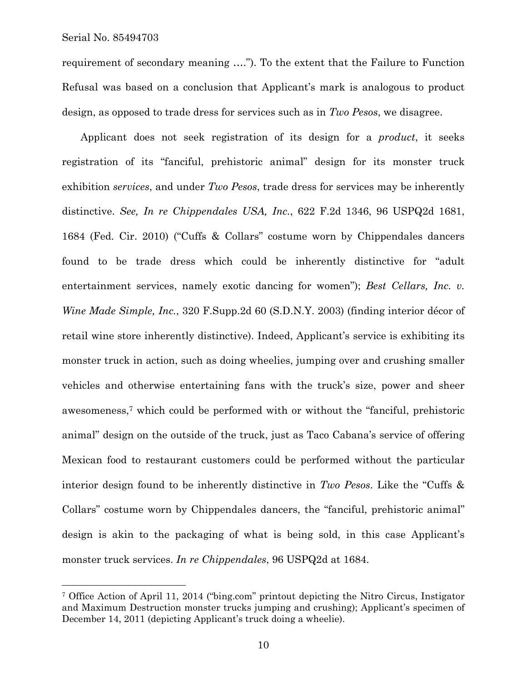$\overline{a}$ 

requirement of secondary meaning …."). To the extent that the Failure to Function Refusal was based on a conclusion that Applicant's mark is analogous to product design, as opposed to trade dress for services such as in *Two Pesos*, we disagree.

Applicant does not seek registration of its design for a *product*, it seeks registration of its "fanciful, prehistoric animal" design for its monster truck exhibition *services*, and under *Two Pesos*, trade dress for services may be inherently distinctive. *See, In re Chippendales USA, Inc.*, 622 F.2d 1346, 96 USPQ2d 1681, 1684 (Fed. Cir. 2010) ("Cuffs & Collars" costume worn by Chippendales dancers found to be trade dress which could be inherently distinctive for "adult entertainment services, namely exotic dancing for women"); *Best Cellars, Inc. v. Wine Made Simple, Inc.*, 320 F.Supp.2d 60 (S.D.N.Y. 2003) (finding interior décor of retail wine store inherently distinctive). Indeed, Applicant's service is exhibiting its monster truck in action, such as doing wheelies, jumping over and crushing smaller vehicles and otherwise entertaining fans with the truck's size, power and sheer awesomeness,7 which could be performed with or without the "fanciful, prehistoric animal" design on the outside of the truck, just as Taco Cabana's service of offering Mexican food to restaurant customers could be performed without the particular interior design found to be inherently distinctive in *Two Pesos*. Like the "Cuffs & Collars" costume worn by Chippendales dancers, the "fanciful, prehistoric animal" design is akin to the packaging of what is being sold, in this case Applicant's monster truck services. *In re Chippendales*, 96 USPQ2d at 1684.

<sup>7</sup> Office Action of April 11, 2014 ("bing.com" printout depicting the Nitro Circus, Instigator and Maximum Destruction monster trucks jumping and crushing); Applicant's specimen of December 14, 2011 (depicting Applicant's truck doing a wheelie).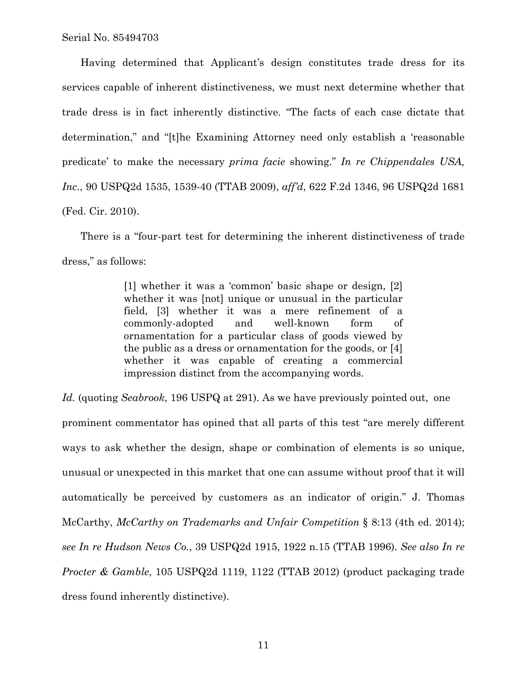Having determined that Applicant's design constitutes trade dress for its services capable of inherent distinctiveness, we must next determine whether that trade dress is in fact inherently distinctive. "The facts of each case dictate that determination," and "[t]he Examining Attorney need only establish a 'reasonable predicate' to make the necessary *prima facie* showing." *In re Chippendales USA, Inc.*, 90 USPQ2d 1535, 1539-40 (TTAB 2009), *aff'd*, 622 F.2d 1346, 96 USPQ2d 1681 (Fed. Cir. 2010).

There is a "four-part test for determining the inherent distinctiveness of trade dress," as follows:

> [1] whether it was a 'common' basic shape or design, [2] whether it was [not] unique or unusual in the particular field, [3] whether it was a mere refinement of a commonly-adopted and well-known form of ornamentation for a particular class of goods viewed by the public as a dress or ornamentation for the goods, or [4] whether it was capable of creating a commercial impression distinct from the accompanying words.

*Id.* (quoting *Seabrook*, 196 USPQ at 291). As we have previously pointed out, one prominent commentator has opined that all parts of this test "are merely different ways to ask whether the design, shape or combination of elements is so unique, unusual or unexpected in this market that one can assume without proof that it will automatically be perceived by customers as an indicator of origin." J. Thomas McCarthy, *McCarthy on Trademarks and Unfair Competition* § 8:13 (4th ed. 2014); *see In re Hudson News Co.*, 39 USPQ2d 1915, 1922 n.15 (TTAB 1996). *See also In re Procter & Gamble*, 105 USPQ2d 1119, 1122 (TTAB 2012) (product packaging trade dress found inherently distinctive).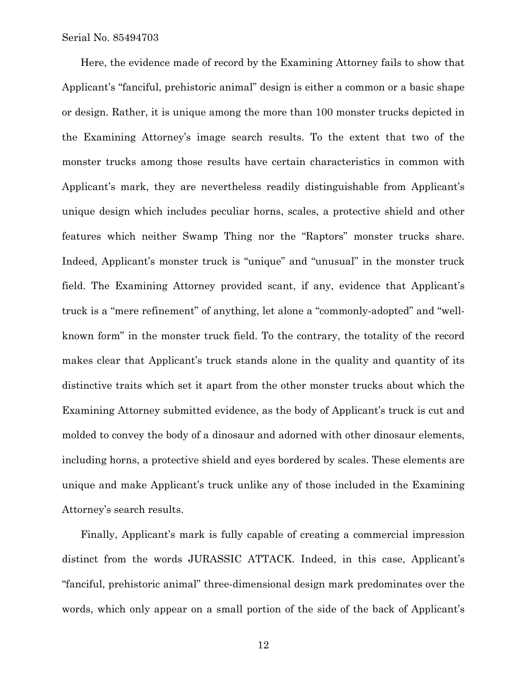Here, the evidence made of record by the Examining Attorney fails to show that Applicant's "fanciful, prehistoric animal" design is either a common or a basic shape or design. Rather, it is unique among the more than 100 monster trucks depicted in the Examining Attorney's image search results. To the extent that two of the monster trucks among those results have certain characteristics in common with Applicant's mark, they are nevertheless readily distinguishable from Applicant's unique design which includes peculiar horns, scales, a protective shield and other features which neither Swamp Thing nor the "Raptors" monster trucks share. Indeed, Applicant's monster truck is "unique" and "unusual" in the monster truck field. The Examining Attorney provided scant, if any, evidence that Applicant's truck is a "mere refinement" of anything, let alone a "commonly-adopted" and "wellknown form" in the monster truck field. To the contrary, the totality of the record makes clear that Applicant's truck stands alone in the quality and quantity of its distinctive traits which set it apart from the other monster trucks about which the Examining Attorney submitted evidence, as the body of Applicant's truck is cut and molded to convey the body of a dinosaur and adorned with other dinosaur elements, including horns, a protective shield and eyes bordered by scales. These elements are unique and make Applicant's truck unlike any of those included in the Examining Attorney's search results.

Finally, Applicant's mark is fully capable of creating a commercial impression distinct from the words JURASSIC ATTACK. Indeed, in this case, Applicant's "fanciful, prehistoric animal" three-dimensional design mark predominates over the words, which only appear on a small portion of the side of the back of Applicant's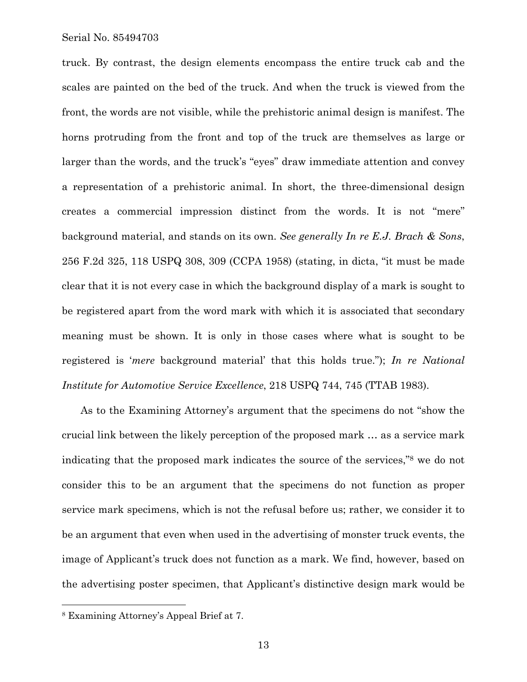truck. By contrast, the design elements encompass the entire truck cab and the scales are painted on the bed of the truck. And when the truck is viewed from the front, the words are not visible, while the prehistoric animal design is manifest. The horns protruding from the front and top of the truck are themselves as large or larger than the words, and the truck's "eyes" draw immediate attention and convey a representation of a prehistoric animal. In short, the three-dimensional design creates a commercial impression distinct from the words. It is not "mere" background material, and stands on its own. *See generally In re E.J. Brach & Sons*, 256 F.2d 325, 118 USPQ 308, 309 (CCPA 1958) (stating, in dicta, "it must be made clear that it is not every case in which the background display of a mark is sought to be registered apart from the word mark with which it is associated that secondary meaning must be shown. It is only in those cases where what is sought to be registered is '*mere* background material' that this holds true."); *In re National Institute for Automotive Service Excellence*, 218 USPQ 744, 745 (TTAB 1983).

As to the Examining Attorney's argument that the specimens do not "show the crucial link between the likely perception of the proposed mark … as a service mark indicating that the proposed mark indicates the source of the services,"8 we do not consider this to be an argument that the specimens do not function as proper service mark specimens, which is not the refusal before us; rather, we consider it to be an argument that even when used in the advertising of monster truck events, the image of Applicant's truck does not function as a mark. We find, however, based on the advertising poster specimen, that Applicant's distinctive design mark would be

 $\overline{a}$ 

<sup>8</sup> Examining Attorney's Appeal Brief at 7.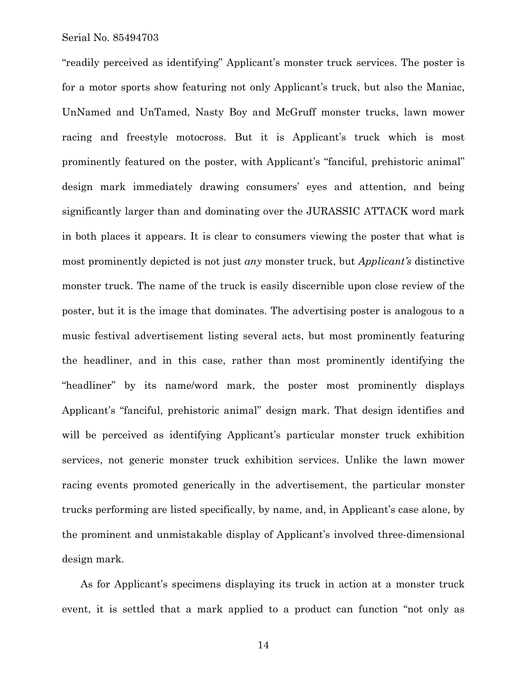"readily perceived as identifying" Applicant's monster truck services. The poster is for a motor sports show featuring not only Applicant's truck, but also the Maniac, UnNamed and UnTamed, Nasty Boy and McGruff monster trucks, lawn mower racing and freestyle motocross. But it is Applicant's truck which is most prominently featured on the poster, with Applicant's "fanciful, prehistoric animal" design mark immediately drawing consumers' eyes and attention, and being significantly larger than and dominating over the JURASSIC ATTACK word mark in both places it appears. It is clear to consumers viewing the poster that what is most prominently depicted is not just *any* monster truck, but *Applicant's* distinctive monster truck. The name of the truck is easily discernible upon close review of the poster, but it is the image that dominates. The advertising poster is analogous to a music festival advertisement listing several acts, but most prominently featuring the headliner, and in this case, rather than most prominently identifying the "headliner" by its name/word mark, the poster most prominently displays Applicant's "fanciful, prehistoric animal" design mark. That design identifies and will be perceived as identifying Applicant's particular monster truck exhibition services, not generic monster truck exhibition services. Unlike the lawn mower racing events promoted generically in the advertisement, the particular monster trucks performing are listed specifically, by name, and, in Applicant's case alone, by the prominent and unmistakable display of Applicant's involved three-dimensional design mark.

As for Applicant's specimens displaying its truck in action at a monster truck event, it is settled that a mark applied to a product can function "not only as

14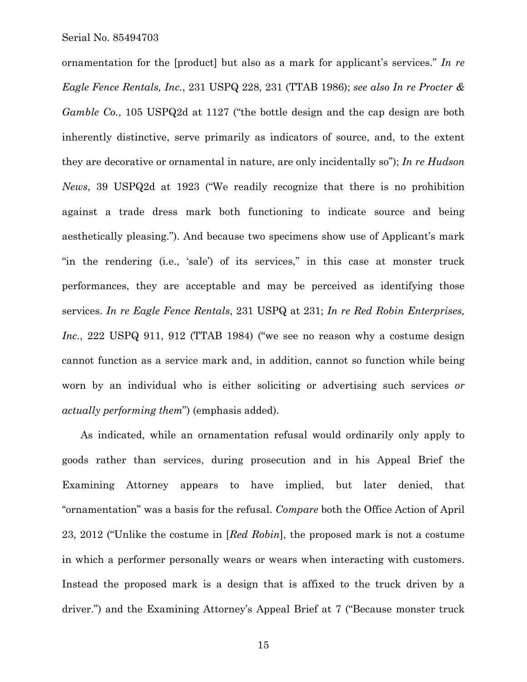ornamentation for the [product] but also as a mark for applicant's services." *In re Eagle Fence Rentals, Inc.*, 231 USPQ 228, 231 (TTAB 1986); *see also In re Procter & Gamble Co.*, 105 USPQ2d at 1127 ("the bottle design and the cap design are both inherently distinctive, serve primarily as indicators of source, and, to the extent they are decorative or ornamental in nature, are only incidentally so"); *In re Hudson News*, 39 USPQ2d at 1923 ("We readily recognize that there is no prohibition against a trade dress mark both functioning to indicate source and being aesthetically pleasing."). And because two specimens show use of Applicant's mark "in the rendering (i.e., 'sale') of its services," in this case at monster truck performances, they are acceptable and may be perceived as identifying those services. *In re Eagle Fence Rentals*, 231 USPQ at 231; *In re Red Robin Enterprises, Inc.*, 222 USPQ 911, 912 (TTAB 1984) ("we see no reason why a costume design cannot function as a service mark and, in addition, cannot so function while being worn by an individual who is either soliciting or advertising such services *or actually performing them*") (emphasis added).

As indicated, while an ornamentation refusal would ordinarily only apply to goods rather than services, during prosecution and in his Appeal Brief the Examining Attorney appears to have implied, but later denied, that "ornamentation" was a basis for the refusal. *Compare* both the Office Action of April 23, 2012 ("Unlike the costume in [*Red Robin*], the proposed mark is not a costume in which a performer personally wears or wears when interacting with customers. Instead the proposed mark is a design that is affixed to the truck driven by a driver.") and the Examining Attorney's Appeal Brief at 7 ("Because monster truck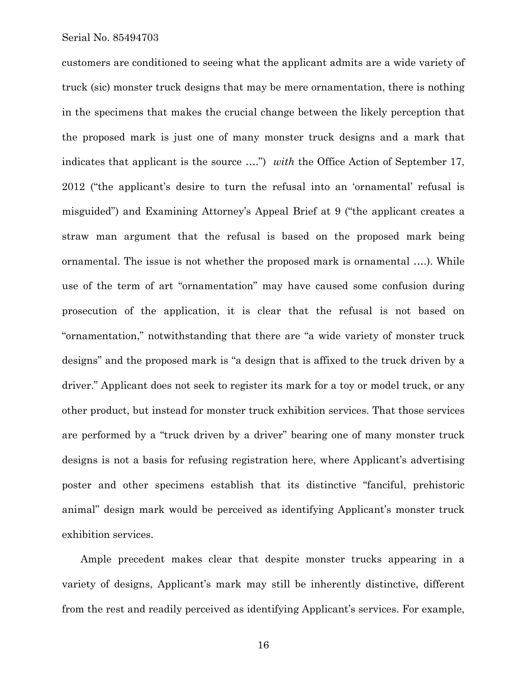customers are conditioned to seeing what the applicant admits are a wide variety of truck (sic) monster truck designs that may be mere ornamentation, there is nothing in the specimens that makes the crucial change between the likely perception that the proposed mark is just one of many monster truck designs and a mark that indicates that applicant is the source ....") *with* the Office Action of September 17, 2012 ("the applicant's desire to turn the refusal into an 'ornamental' refusal is misguided") and Examining Attorney's Appeal Brief at 9 ("the applicant creates a straw man argument that the refusal is based on the proposed mark being ornamental. The issue is not whether the proposed mark is ornamental ….). While use of the term of art "ornamentation" may have caused some confusion during prosecution of the application, it is clear that the refusal is not based on "ornamentation," notwithstanding that there are "a wide variety of monster truck designs" and the proposed mark is "a design that is affixed to the truck driven by a driver." Applicant does not seek to register its mark for a toy or model truck, or any other product, but instead for monster truck exhibition services. That those services are performed by a "truck driven by a driver" bearing one of many monster truck designs is not a basis for refusing registration here, where Applicant's advertising poster and other specimens establish that its distinctive "fanciful, prehistoric animal" design mark would be perceived as identifying Applicant's monster truck exhibition services.

Ample precedent makes clear that despite monster trucks appearing in a variety of designs, Applicant's mark may still be inherently distinctive, different from the rest and readily perceived as identifying Applicant's services. For example,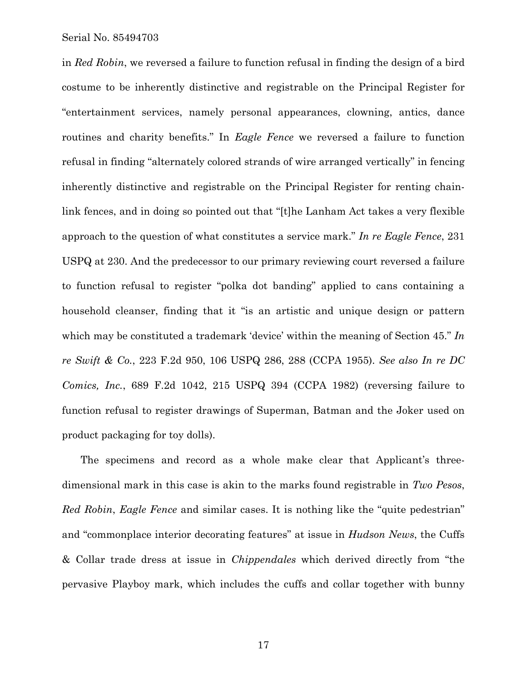in *Red Robin*, we reversed a failure to function refusal in finding the design of a bird costume to be inherently distinctive and registrable on the Principal Register for "entertainment services, namely personal appearances, clowning, antics, dance routines and charity benefits." In *Eagle Fence* we reversed a failure to function refusal in finding "alternately colored strands of wire arranged vertically" in fencing inherently distinctive and registrable on the Principal Register for renting chainlink fences, and in doing so pointed out that "[t]he Lanham Act takes a very flexible approach to the question of what constitutes a service mark." *In re Eagle Fence*, 231 USPQ at 230. And the predecessor to our primary reviewing court reversed a failure to function refusal to register "polka dot banding" applied to cans containing a household cleanser, finding that it "is an artistic and unique design or pattern which may be constituted a trademark 'device' within the meaning of Section 45." *In re Swift & Co.*, 223 F.2d 950, 106 USPQ 286, 288 (CCPA 1955). *See also In re DC Comics, Inc.*, 689 F.2d 1042, 215 USPQ 394 (CCPA 1982) (reversing failure to function refusal to register drawings of Superman, Batman and the Joker used on product packaging for toy dolls).

The specimens and record as a whole make clear that Applicant's threedimensional mark in this case is akin to the marks found registrable in *Two Pesos*, *Red Robin*, *Eagle Fence* and similar cases. It is nothing like the "quite pedestrian" and "commonplace interior decorating features" at issue in *Hudson News*, the Cuffs & Collar trade dress at issue in *Chippendales* which derived directly from "the pervasive Playboy mark, which includes the cuffs and collar together with bunny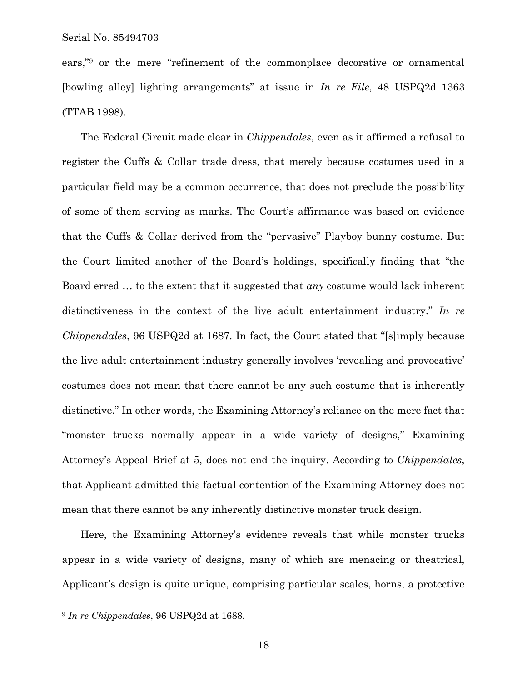ears,"9 or the mere "refinement of the commonplace decorative or ornamental [bowling alley] lighting arrangements" at issue in *In re File*, 48 USPQ2d 1363 (TTAB 1998).

The Federal Circuit made clear in *Chippendales*, even as it affirmed a refusal to register the Cuffs & Collar trade dress, that merely because costumes used in a particular field may be a common occurrence, that does not preclude the possibility of some of them serving as marks. The Court's affirmance was based on evidence that the Cuffs & Collar derived from the "pervasive" Playboy bunny costume. But the Court limited another of the Board's holdings, specifically finding that "the Board erred … to the extent that it suggested that *any* costume would lack inherent distinctiveness in the context of the live adult entertainment industry." *In re Chippendales*, 96 USPQ2d at 1687. In fact, the Court stated that "[s]imply because the live adult entertainment industry generally involves 'revealing and provocative' costumes does not mean that there cannot be any such costume that is inherently distinctive." In other words, the Examining Attorney's reliance on the mere fact that "monster trucks normally appear in a wide variety of designs," Examining Attorney's Appeal Brief at 5, does not end the inquiry. According to *Chippendales*, that Applicant admitted this factual contention of the Examining Attorney does not mean that there cannot be any inherently distinctive monster truck design.

Here, the Examining Attorney's evidence reveals that while monster trucks appear in a wide variety of designs, many of which are menacing or theatrical, Applicant's design is quite unique, comprising particular scales, horns, a protective

 $\overline{a}$ 

<sup>9</sup> *In re Chippendales*, 96 USPQ2d at 1688.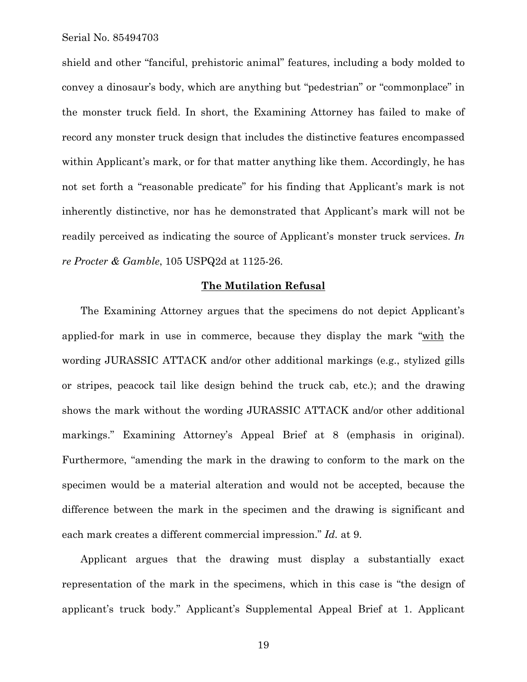shield and other "fanciful, prehistoric animal" features, including a body molded to convey a dinosaur's body, which are anything but "pedestrian" or "commonplace" in the monster truck field. In short, the Examining Attorney has failed to make of record any monster truck design that includes the distinctive features encompassed within Applicant's mark, or for that matter anything like them. Accordingly, he has not set forth a "reasonable predicate" for his finding that Applicant's mark is not inherently distinctive, nor has he demonstrated that Applicant's mark will not be readily perceived as indicating the source of Applicant's monster truck services. *In re Procter & Gamble*, 105 USPQ2d at 1125-26.

#### **The Mutilation Refusal**

The Examining Attorney argues that the specimens do not depict Applicant's applied-for mark in use in commerce, because they display the mark "with the wording JURASSIC ATTACK and/or other additional markings (e.g., stylized gills or stripes, peacock tail like design behind the truck cab, etc.); and the drawing shows the mark without the wording JURASSIC ATTACK and/or other additional markings." Examining Attorney's Appeal Brief at 8 (emphasis in original). Furthermore, "amending the mark in the drawing to conform to the mark on the specimen would be a material alteration and would not be accepted, because the difference between the mark in the specimen and the drawing is significant and each mark creates a different commercial impression." *Id.* at 9.

Applicant argues that the drawing must display a substantially exact representation of the mark in the specimens, which in this case is "the design of applicant's truck body." Applicant's Supplemental Appeal Brief at 1. Applicant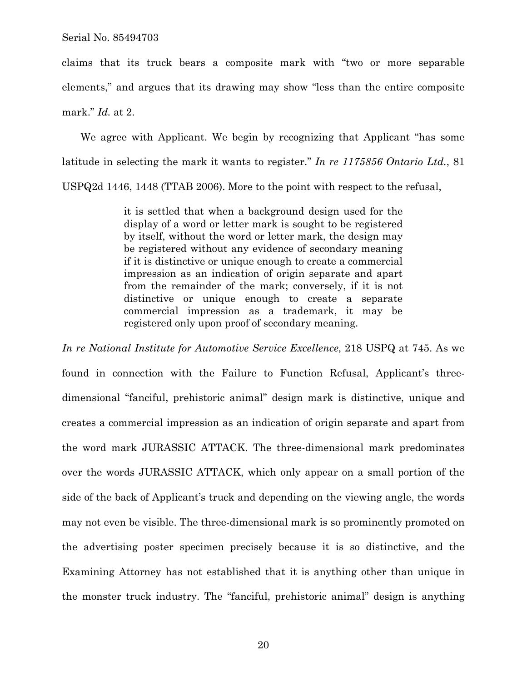claims that its truck bears a composite mark with "two or more separable elements," and argues that its drawing may show "less than the entire composite mark." *Id.* at 2.

We agree with Applicant. We begin by recognizing that Applicant "has some latitude in selecting the mark it wants to register." *In re 1175856 Ontario Ltd.*, 81 USPQ2d 1446, 1448 (TTAB 2006). More to the point with respect to the refusal,

> it is settled that when a background design used for the display of a word or letter mark is sought to be registered by itself, without the word or letter mark, the design may be registered without any evidence of secondary meaning if it is distinctive or unique enough to create a commercial impression as an indication of origin separate and apart from the remainder of the mark; conversely, if it is not distinctive or unique enough to create a separate commercial impression as a trademark, it may be registered only upon proof of secondary meaning.

*In re National Institute for Automotive Service Excellence*, 218 USPQ at 745. As we found in connection with the Failure to Function Refusal, Applicant's threedimensional "fanciful, prehistoric animal" design mark is distinctive, unique and creates a commercial impression as an indication of origin separate and apart from the word mark JURASSIC ATTACK. The three-dimensional mark predominates over the words JURASSIC ATTACK, which only appear on a small portion of the side of the back of Applicant's truck and depending on the viewing angle, the words may not even be visible. The three-dimensional mark is so prominently promoted on the advertising poster specimen precisely because it is so distinctive, and the Examining Attorney has not established that it is anything other than unique in the monster truck industry. The "fanciful, prehistoric animal" design is anything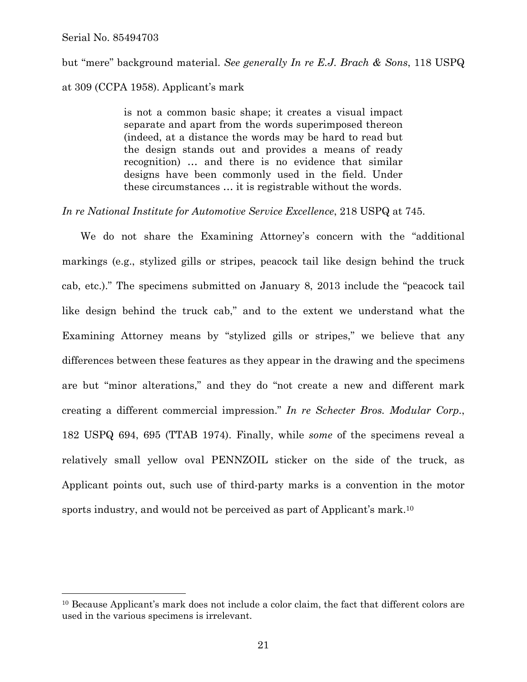1

but "mere" background material. *See generally In re E.J. Brach & Sons*, 118 USPQ

## at 309 (CCPA 1958). Applicant's mark

is not a common basic shape; it creates a visual impact separate and apart from the words superimposed thereon (indeed, at a distance the words may be hard to read but the design stands out and provides a means of ready recognition) … and there is no evidence that similar designs have been commonly used in the field. Under these circumstances … it is registrable without the words.

## *In re National Institute for Automotive Service Excellence*, 218 USPQ at 745.

We do not share the Examining Attorney's concern with the "additional markings (e.g., stylized gills or stripes, peacock tail like design behind the truck cab, etc.)." The specimens submitted on January 8, 2013 include the "peacock tail like design behind the truck cab," and to the extent we understand what the Examining Attorney means by "stylized gills or stripes," we believe that any differences between these features as they appear in the drawing and the specimens are but "minor alterations," and they do "not create a new and different mark creating a different commercial impression." *In re Schecter Bros. Modular Corp.*, 182 USPQ 694, 695 (TTAB 1974). Finally, while *some* of the specimens reveal a relatively small yellow oval PENNZOIL sticker on the side of the truck, as Applicant points out, such use of third-party marks is a convention in the motor sports industry, and would not be perceived as part of Applicant's mark.10

<sup>10</sup> Because Applicant's mark does not include a color claim, the fact that different colors are used in the various specimens is irrelevant.